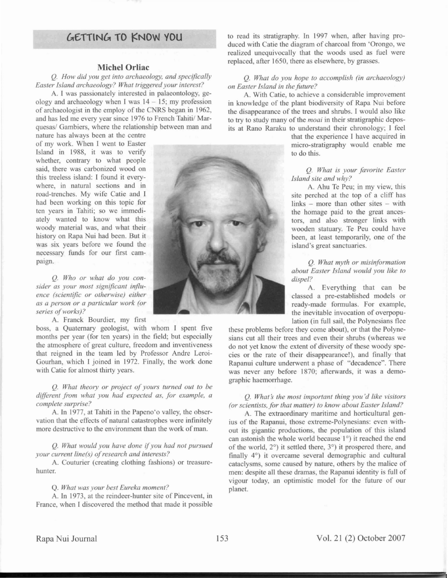# **{,.£1TlN{,. TO !'NOW YOU**

#### **MicbelOrliac**

Q. *How did you get into archaeology, and specifically Ea ter* 1 *land archaeology? What triggered your interest?*

A. I was passionately interested in palaeontology, geology and archaeology when I was  $14 - 15$ ; my profession of archaeologist in the employ of the CNRS began in 1962, and has led me every year since 1976 to French Tahiti/ Marquesas/ Gambiers, where the relationship between man and

nature has always been at the centre of my work. When I went to Easter Island in 1988, it was to verify whether, contrary to what people said, there was carbonized wood on this treeless island: I found it everywhere, in natural sections and in road-trenches. My wife Catie and I had been working on this topic for ten years in Tahiti; so we immediately wanted to know what thi woody material was, and what their history on Rapa Nui had been. But it was six years before we found the necessary funds for our first campaign.

Q. *Who or what do you consider as your most significant influence (scientific or otherwise) either as a person or a particular work (or series ofworks)?*

A. Franck Bourdier, my first

boss, a Quaternary geologist, with whom I spent five months per year (for ten years) in the field; but especially the atmosphere of great culture, freedom and inventivene that reigned in the team led by Professor Andre Leroi-Gourhan, which 1 joined in 1972. Finally, the work done with Catie for almost thirty years.

### Q. *What theOlY or project of yours turned out to be different from what you had expected as, for example, a complete surprise?*

A. In 1977, at Tahiti in the Papeno'o valley, the observation that the effects of natural catastrophes were infinitely more destructive to the environment than the work of man.

Q. *What would you have done* if*you had not pursued your current line(s) of research and interests?* 

A. Couturier (creating clothing fashions) or treasurehunter.

#### Q. *What was your best Eureka moment?*

A. In 1973, at the reindeer-hunter site of Pincevent, in France, when I discovered the method that made it possible



to read its stratigraphy. In 1997 when, after having produced with Catie the diagram of charcoal from 'Orongo, we realized unequivocally that the woods used as fuel were replaced, after 1650, there as elsewhere, by grasses.

#### Q. *What do you hope to accomplish (in archaeology)*  $on$  *Easter Island in the future?*

A. With Catie, to achieve a considerable improvement in knowledge of the plant biodiversity of Rapa Nui before the disappearance of the trees and shrubs. I would also like to try to study many of the *moai* in their stratigraphic deposits at Rano Raraku to understand their chronology; I feel

> that the experience I have acquired in micro-stratigraphy would enable me to do this.

#### Q. *What is your favorite Ea ter island site and why?*

A. Ahu Te Peu; in my view, this site perched at the top of a cliff has links  $-$  more than other sites  $-$  with the homage paid to the great ancestors, and also stronger links with wooden statuary. Te Peu could have been, at least temporarily, one of the island's great sanctuaries.

Q. *What myth or misinformation about Easter Island would you like to dispel?*

A. Everything that can be classed a pre-established models or ready-made formulas. For example, the inevitable invocation of overpopulation (in full sail, the Polynesians flee

these problems before they come about), or that the Polynesians cut all their trees and even their shrubs (whereas we do not yet know the extent of diversity of these woody species or the rate of their disappearance!), and finally that Rapanui culture underwent a phase of "decadence". There was never any before 1870; afterwards, it was a demographic haemorrhage.

#### Q. *What' the most important thing you'd like visitors (or scientists. for that matter) to know about Easter island?*

A. The extraordinary maritime and horticultural genius of the Rapanui, those extreme-Polynesians: even without its gigantic productions, the population of this island can astonish the whole world because 1°) it reached the end of the world, 2°) it ettled there, 3°) it prospered there, and finally 4°) it overcame several demographic and cultural cataclysms, some caused by nature, others by the malice of men: despite all these dramas, the Rapanui identity is full of vigour today, an optimistic model for the future of our planet.